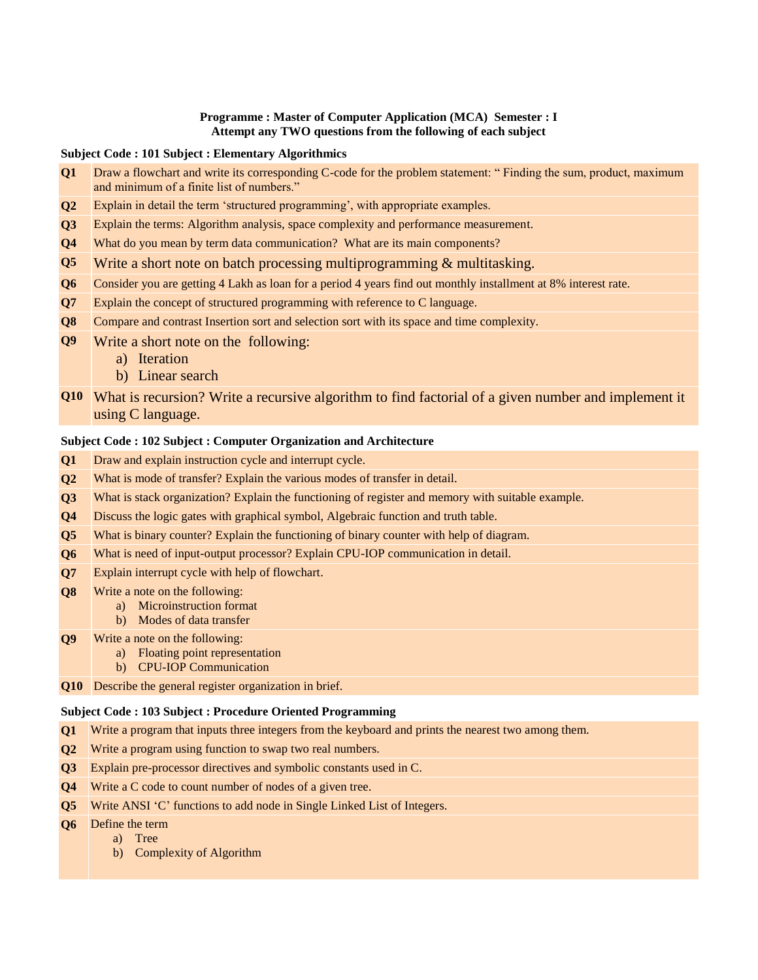### **Programme : Master of Computer Application (MCA) Semester : I Attempt any TWO questions from the following of each subject**

#### **Subject Code : 101 Subject : Elementary Algorithmics**

- **Q1** Draw a flowchart and write its corresponding C-code for the problem statement: " Finding the sum, product, maximum and minimum of a finite list of numbers."
- **Q2** Explain in detail the term "structured programming", with appropriate examples.
- **Q3** Explain the terms: Algorithm analysis, space complexity and performance measurement.
- **Q4** What do you mean by term data communication? What are its main components?
- **Q5** Write a short note on batch processing multiprogramming & multitasking.
- **Q6** Consider you are getting 4 Lakh as loan for a period 4 years find out monthly installment at 8% interest rate.
- **Q7** Explain the concept of structured programming with reference to C language.
- **Q8** Compare and contrast Insertion sort and selection sort with its space and time complexity.
- **Q9** Write a short note on the following:
	- a) Iteration
	- b) Linear search
- **Q10** What is recursion? Write a recursive algorithm to find factorial of a given number and implement it using C language.

# **Subject Code : 102 Subject : Computer Organization and Architecture**

- **Q1** Draw and explain instruction cycle and interrupt cycle.
- **Q2** What is mode of transfer? Explain the various modes of transfer in detail.
- **Q3** What is stack organization? Explain the functioning of register and memory with suitable example.
- **Q4** Discuss the logic gates with graphical symbol, Algebraic function and truth table.
- **Q5** What is binary counter? Explain the functioning of binary counter with help of diagram.
- **Q6** What is need of input-output processor? Explain CPU-IOP communication in detail.
- **Q7** Explain interrupt cycle with help of flowchart.
- **Q8** Write a note on the following:
	- a) Microinstruction format
	- b) Modes of data transfer
- **Q9** Write a note on the following:
	- a) Floating point representation
	- b) CPU-IOP Communication
- **Q10** Describe the general register organization in brief.

## **Subject Code : 103 Subject : Procedure Oriented Programming**

- **Q1** Write a program that inputs three integers from the keyboard and prints the nearest two among them.
- **Q2** Write a program using function to swap two real numbers.
- **Q3** Explain pre-processor directives and symbolic constants used in C.
- **Q4** Write a C code to count number of nodes of a given tree.
- **Q5** Write ANSI 'C' functions to add node in Single Linked List of Integers.
- **Q6** Define the term
	- a) Tree
	- b) Complexity of Algorithm